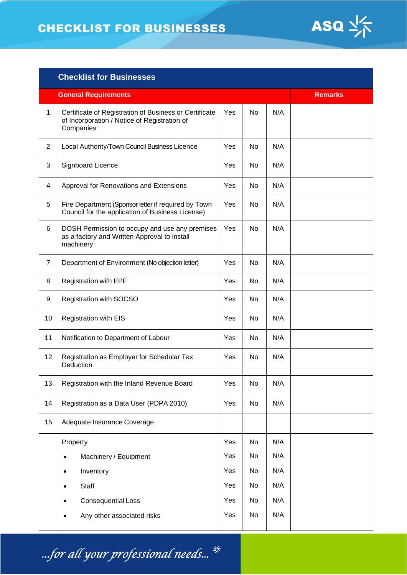# CHECKLIST FOR BUSINESSES



| <b>Checklist for Businesses</b> |                                                                                                                     |                |           |     |  |  |
|---------------------------------|---------------------------------------------------------------------------------------------------------------------|----------------|-----------|-----|--|--|
|                                 | <b>General Requirements</b>                                                                                         | <b>Remarks</b> |           |     |  |  |
| 1                               | Certificate of Registration of Business or Certificate<br>of Incorporation / Notice of Registration of<br>Companies | Yes            | No        | N/A |  |  |
| $\overline{2}$                  | Local Authority/Town Council Business Licence                                                                       | Yes            | No        | N/A |  |  |
| 3                               | Signboard Licence                                                                                                   | Yes            | No        | N/A |  |  |
| 4                               | Approval for Renovations and Extensions                                                                             | Yes            | No        | N/A |  |  |
| 5                               | Fire Department (Sponsor letter if required by Town<br>Council for the application of Business License)             | Yes            | No        | N/A |  |  |
| 6                               | DOSH Permission to occupy and use any premises<br>as a factory and Written Approval to install<br>machinery         | Yes            | <b>No</b> | N/A |  |  |
| $\overline{7}$                  | Department of Environment (No objection letter)                                                                     | Yes            | No        | N/A |  |  |
| 8                               | <b>Registration with EPF</b>                                                                                        | Yes            | No        | N/A |  |  |
| 9                               | Registration with SOCSO                                                                                             | Yes            | No        | N/A |  |  |
| 10                              | <b>Registration with EIS</b>                                                                                        | Yes            | No        | N/A |  |  |
| 11                              | Notification to Department of Labour                                                                                | Yes            | No        | N/A |  |  |
| 12                              | Registration as Employer for Schedular Tax<br>Deduction                                                             | Yes            | No        | N/A |  |  |
| 13                              | Registration with the Inland Revenue Board                                                                          | Yes            | No        | N/A |  |  |
| 14                              | Registration as a Data User (PDPA 2010)                                                                             | Yes            | No        | N/A |  |  |
| 15                              | Adequate Insurance Coverage                                                                                         |                |           |     |  |  |
|                                 | Property                                                                                                            | Yes            | No        | N/A |  |  |
|                                 | Machinery / Equipment<br>$\bullet$                                                                                  | Yes            | No        | N/A |  |  |
|                                 | Inventory                                                                                                           | Yes            | No        | N/A |  |  |
|                                 | Staff                                                                                                               | Yes            | No        | N/A |  |  |
|                                 | <b>Consequential Loss</b>                                                                                           | Yes            | No        | N/A |  |  |
|                                 | Any other associated risks                                                                                          | Yes            | No        | N/A |  |  |

...for all your professional needs...  $\frac{4}{3}$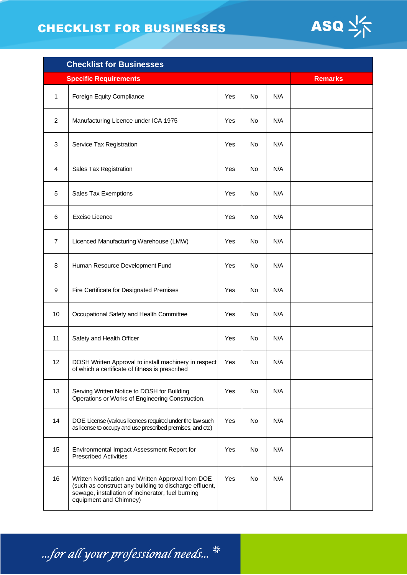# CHECKLIST FOR BUSINESSES



| <b>Checklist for Businesses</b> |                                                                                                                                                                                             |                |     |     |  |
|---------------------------------|---------------------------------------------------------------------------------------------------------------------------------------------------------------------------------------------|----------------|-----|-----|--|
|                                 | <b>Specific Requirements</b>                                                                                                                                                                | <b>Remarks</b> |     |     |  |
| 1                               | Foreign Equity Compliance                                                                                                                                                                   | Yes            | No  | N/A |  |
| 2                               | Manufacturing Licence under ICA 1975                                                                                                                                                        | Yes            | No  | N/A |  |
| 3                               | Service Tax Registration                                                                                                                                                                    | Yes            | No  | N/A |  |
| 4                               | Sales Tax Registration                                                                                                                                                                      | Yes            | No. | N/A |  |
| 5                               | Sales Tax Exemptions                                                                                                                                                                        | Yes            | No. | N/A |  |
| 6                               | <b>Excise Licence</b>                                                                                                                                                                       | Yes            | No. | N/A |  |
| 7                               | Licenced Manufacturing Warehouse (LMW)                                                                                                                                                      | Yes            | No. | N/A |  |
| 8                               | Human Resource Development Fund                                                                                                                                                             | Yes            | No  | N/A |  |
| 9                               | Fire Certificate for Designated Premises                                                                                                                                                    | Yes            | No  | N/A |  |
| 10                              | Occupational Safety and Health Committee                                                                                                                                                    | Yes            | No  | N/A |  |
| 11                              | Safety and Health Officer                                                                                                                                                                   | Yes            | No. | N/A |  |
| 12                              | DOSH Written Approval to install machinery in respect<br>of which a certificate of fitness is prescribed                                                                                    | Yes            | No  | N/A |  |
| 13                              | Serving Written Notice to DOSH for Building<br>Operations or Works of Engineering Construction.                                                                                             | Yes            | No  | N/A |  |
| 14                              | DOE License (various licences required under the law such<br>as license to occupy and use prescribed premises, and etc)                                                                     | Yes            | No. | N/A |  |
| 15                              | Environmental Impact Assessment Report for<br><b>Prescribed Activities</b>                                                                                                                  | Yes            | No  | N/A |  |
| 16                              | Written Notification and Written Approval from DOE<br>(such as construct any building to discharge effluent,<br>sewage, installation of incinerator, fuel burning<br>equipment and Chimney) | Yes            | No  | N/A |  |

...for all your professional needs...  $\frac{4}{3}$